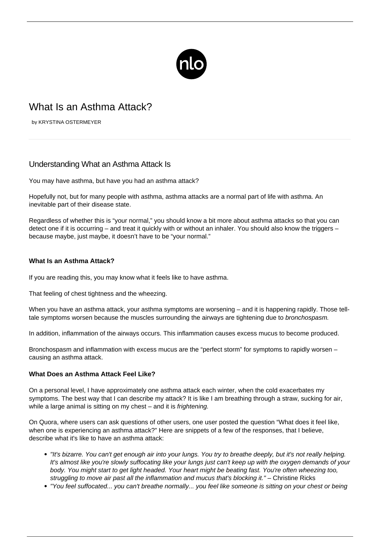

# What Is an Asthma Attack?

by KRYSTINA OSTERMEYER

# Understanding What an Asthma Attack Is

You may have [asthma,](/what-is-asthma/) but have you had an asthma attack?

Hopefully not, but for many people with asthma, asthma attacks are a normal part of life with asthma. An inevitable part of their disease state.

Regardless of whether this is "your normal," you should know a bit more about asthma attacks so that you can detect one if it is occurring – and treat it quickly with or without an inhaler. You should also know the triggers – because maybe, just maybe, it doesn't have to be "your normal."

## **What Is an Asthma Attack?**

If you are reading this, you may know what it feels like to have asthma.

That feeling of chest tightness and the wheezing.

When you have an asthma attack, your [asthma symptoms](/symptoms-asthma/) are worsening – and it is happening rapidly. Those telltale symptoms worsen because the muscles surrounding the airways are tightening due to bronchospasm.

In addition, inflammation of the airways occurs. This inflammation causes excess mucus to become produced.

Bronchospasm and inflammation with excess mucus are the "perfect storm" for symptoms to rapidly worsen – causing an asthma attack.

#### **What Does an Asthma Attack Feel Like?**

On a personal level, I have approximately one asthma attack each winter, when the cold exacerbates my symptoms. The best way that I can describe my attack? It is like I am breathing through a straw, sucking for air, while a large animal is sitting on my chest – and it is *frightening*.

On Quora, where users can ask questions of other users, one user posted the question "What does it feel like, when one is experiencing an asthma attack?" Here are snippets of a few of the responses, that I believe, describe what it's like to have an asthma attack:

- "It's bizarre. You can't get enough air into your lungs. You try to breathe deeply, but it's not really helping. It's almost like you're slowly suffocating like your lungs just can't keep up with the oxygen demands of your body. You might start to get light headed. Your heart might be beating fast. You're often wheezing too, struggling to move air past all the inflammation and mucus that's blocking it." – Christine Ricks
- "You feel suffocated... you can't breathe normally... you feel like someone is sitting on your chest or being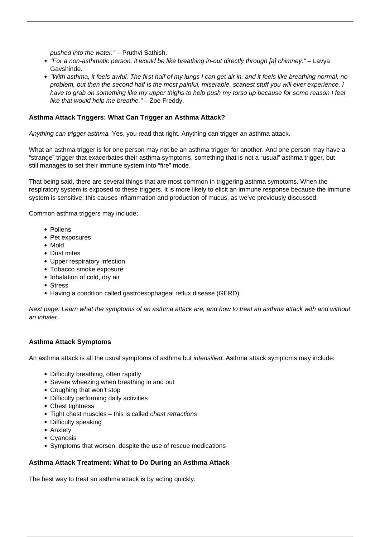pushed into the water." – Pruthvi Sathish.

- "For a non-asthmatic person, it would be like breathing in-out directly through [a] chimney." Lavya Gavshinde.
- "With asthma, it feels awful. The first half of my lungs I can get air in, and it feels like breathing normal, no problem, but then the second half is the most painful, miserable, scariest stuff you will ever experience. I have to grab on something like my upper thighs to help push my torso up because for some reason I feel like that would help me breathe." – Zoe Freddy.

# **Asthma Attack Triggers: What Can Trigger an Asthma Attack?**

Anything can trigger asthma. Yes, you read that right. Anything can trigger an asthma attack.

What an [asthma trigger](/asthma-triggers/) is for one person may not be an asthma trigger for another. And one person may have a "strange" trigger that exacerbates their asthma symptoms, something that is not a "usual" asthma trigger, but still manages to set their immune system into "fire" mode.

That being said, there are several things that are most common in triggering asthma symptoms. When the respiratory system is exposed to these triggers, it is more likely to elicit an immune response because the immune system is sensitive; this causes inflammation and production of mucus, as we've previously discussed.

Common asthma triggers may include:

- Pollens
- Pet exposures
- Mold
- Dust mites
- Upper respiratory infection
- Tobacco smoke exposure
- Inhalation of cold, dry air
- Stress
- Having a condition called gastroesophageal reflux disease (GERD)

Next page: Learn what the symptoms of an asthma attack are, and how to treat an asthma attack with and without an inhaler.

### **Asthma Attack Symptoms**

An asthma attack is all the usual symptoms of asthma but intensified. Asthma attack symptoms may include:

- Difficulty breathing, often rapidly
- Severe wheezing when breathing in and out
- Coughing that won't stop
- Difficulty performing daily activities
- Chest tightness
- Tight chest muscles this is called chest retractions
- Difficulty speaking
- Anxiety
- Cyanosis
- Symptoms that worsen, despite the use of rescue medications

#### **Asthma Attack Treatment: What to Do During an Asthma Attack**

The [best way to treat an asthma attack](/what-to-do-during-an-asthma-attack/) is by acting quickly.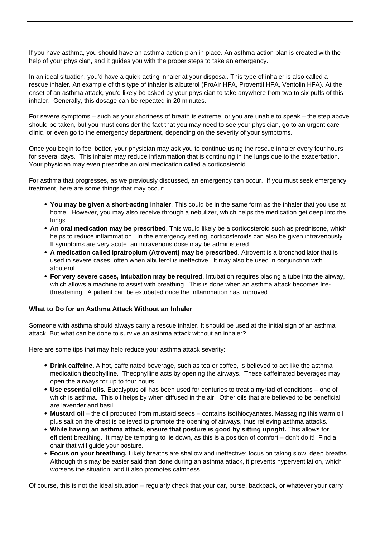If you have asthma, you should have an asthma action plan in place. An [asthma action plan](/asthma-action-plan/) is created with the help of your physician, and it guides you with the proper steps to take an emergency.

In an ideal situation, you'd have a quick-acting inhaler at your disposal. This type of inhaler is also called a rescue inhaler. An example of this type of inhaler is albuterol (ProAir HFA, Proventil HFA, Ventolin HFA). At the onset of an asthma attack, you'd likely be asked by your physician to take anywhere from two to six puffs of this inhaler. Generally, this dosage can be repeated in 20 minutes.

For severe symptoms – such as your shortness of breath is extreme, or you are unable to speak – the step above should be taken, but you must consider the fact that you may need to see your physician, go to an urgent care clinic, or even go to the emergency department, depending on the severity of your symptoms.

Once you begin to feel better, your physician may ask you to continue using the rescue inhaler every four hours for several days. This inhaler may reduce inflammation that is continuing in the lungs due to the exacerbation. Your physician may even prescribe an oral medication called a corticosteroid.

For asthma that progresses, as we previously discussed, an emergency can occur. If you must seek emergency treatment, here are some things that may occur:

- **You may be given a short-acting inhaler**. This could be in the same form as the inhaler that you use at home. However, you may also receive through a nebulizer, which helps the medication get deep into the lungs.
- **An oral medication may be prescribed**. This would likely be a corticosteroid such as prednisone, which helps to reduce inflammation. In the emergency setting, corticosteroids can also be given intravenously. If symptoms are very acute, an intravenous dose may be administered.
- **A medication called ipratropium (Atrovent) may be prescribed**. Atrovent is a bronchodilator that is used in severe cases, often when albuterol is ineffective. It may also be used in conjunction with albuterol.
- **For very severe cases, intubation may be required**. Intubation requires placing a tube into the airway, which allows a machine to assist with breathing. This is done when an asthma attack becomes lifethreatening. A patient can be extubated once the inflammation has improved.

#### **What to Do for an Asthma Attack Without an Inhaler**

Someone with asthma should always carry a rescue inhaler. It should be used at the initial sign of an asthma attack. But what can be done to survive an [asthma attack without an inhaler?](/asthma-attack-no-inhaler/)

Here are some tips that may help reduce your asthma attack severity:

- **Drink caffeine.** A hot, caffeinated beverage, such as tea or coffee, is believed to act like the asthma medication theophylline. Theophylline acts by opening the airways. These caffeinated beverages may open the airways for up to four hours.
- **Use essential oils.** Eucalyptus oil has been used for centuries to treat a myriad of conditions one of which is asthma. This oil helps by when diffused in the air. Other oils that are believed to be beneficial are lavender and basil.
- **Mustard oil** the oil produced from mustard seeds contains isothiocyanates. Massaging this warm oil plus salt on the chest is believed to promote the opening of airways, thus relieving asthma attacks.
- **While having an asthma attack, ensure that posture is good by sitting upright.** This allows for efficient breathing. It may be tempting to lie down, as this is a position of comfort – don't do it! Find a chair that will guide your posture.
- **Focus on your breathing.** Likely breaths are shallow and ineffective; focus on taking slow, deep breaths. Although this may be easier said than done during an asthma attack, it prevents hyperventilation, which worsens the situation, and it also promotes calmness.

Of course, this is not the ideal situation – regularly check that your car, purse, backpack, or whatever your carry